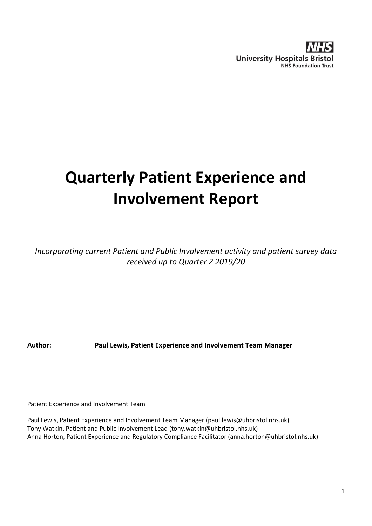

# **Quarterly Patient Experience and Involvement Report**

*Incorporating current Patient and Public Involvement activity and patient survey data received up to Quarter 2 2019/20*

**Author: Paul Lewis, Patient Experience and Involvement Team Manager**

Patient Experience and Involvement Team

Paul Lewis, Patient Experience and Involvement Team Manager (paul.lewis@uhbristol.nhs.uk) Tony Watkin, Patient and Public Involvement Lead (tony.watkin@uhbristol.nhs.uk) Anna Horton, Patient Experience and Regulatory Compliance Facilitator (anna.horton@uhbristol.nhs.uk)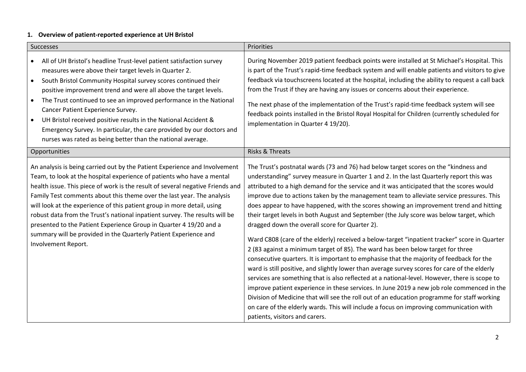# **1. Overview of patient-reported experience at UH Bristol**

| Successes                                                                                                                                                                                                                                                                                                                                                                                                                                                                                                                                                                                                                                   | Priorities                                                                                                                                                                                                                                                                                                                                                                                                                                                                                                                                                                                                                                                                                                                                                                                                                                                                                                                                                                                                                                                                                                                                                                                                                                                                                                                                                                                                                 |  |  |
|---------------------------------------------------------------------------------------------------------------------------------------------------------------------------------------------------------------------------------------------------------------------------------------------------------------------------------------------------------------------------------------------------------------------------------------------------------------------------------------------------------------------------------------------------------------------------------------------------------------------------------------------|----------------------------------------------------------------------------------------------------------------------------------------------------------------------------------------------------------------------------------------------------------------------------------------------------------------------------------------------------------------------------------------------------------------------------------------------------------------------------------------------------------------------------------------------------------------------------------------------------------------------------------------------------------------------------------------------------------------------------------------------------------------------------------------------------------------------------------------------------------------------------------------------------------------------------------------------------------------------------------------------------------------------------------------------------------------------------------------------------------------------------------------------------------------------------------------------------------------------------------------------------------------------------------------------------------------------------------------------------------------------------------------------------------------------------|--|--|
| All of UH Bristol's headline Trust-level patient satisfaction survey<br>measures were above their target levels in Quarter 2.<br>South Bristol Community Hospital survey scores continued their<br>$\bullet$<br>positive improvement trend and were all above the target levels.<br>The Trust continued to see an improved performance in the National<br>$\bullet$<br>Cancer Patient Experience Survey.<br>UH Bristol received positive results in the National Accident &<br>Emergency Survey. In particular, the care provided by our doctors and<br>nurses was rated as being better than the national average.                         | During November 2019 patient feedback points were installed at St Michael's Hospital. This<br>is part of the Trust's rapid-time feedback system and will enable patients and visitors to give<br>feedback via touchscreens located at the hospital, including the ability to request a call back<br>from the Trust if they are having any issues or concerns about their experience.<br>The next phase of the implementation of the Trust's rapid-time feedback system will see<br>feedback points installed in the Bristol Royal Hospital for Children (currently scheduled for<br>implementation in Quarter 4 19/20).                                                                                                                                                                                                                                                                                                                                                                                                                                                                                                                                                                                                                                                                                                                                                                                                    |  |  |
| Opportunities                                                                                                                                                                                                                                                                                                                                                                                                                                                                                                                                                                                                                               | <b>Risks &amp; Threats</b>                                                                                                                                                                                                                                                                                                                                                                                                                                                                                                                                                                                                                                                                                                                                                                                                                                                                                                                                                                                                                                                                                                                                                                                                                                                                                                                                                                                                 |  |  |
| An analysis is being carried out by the Patient Experience and Involvement<br>Team, to look at the hospital experience of patients who have a mental<br>health issue. This piece of work is the result of several negative Friends and<br>Family Test comments about this theme over the last year. The analysis<br>will look at the experience of this patient group in more detail, using<br>robust data from the Trust's national inpatient survey. The results will be<br>presented to the Patient Experience Group in Quarter 4 19/20 and a<br>summary will be provided in the Quarterly Patient Experience and<br>Involvement Report. | The Trust's postnatal wards (73 and 76) had below target scores on the "kindness and<br>understanding" survey measure in Quarter 1 and 2. In the last Quarterly report this was<br>attributed to a high demand for the service and it was anticipated that the scores would<br>improve due to actions taken by the management team to alleviate service pressures. This<br>does appear to have happened, with the scores showing an improvement trend and hitting<br>their target levels in both August and September (the July score was below target, which<br>dragged down the overall score for Quarter 2).<br>Ward C808 (care of the elderly) received a below-target "inpatient tracker" score in Quarter<br>2 (83 against a minimum target of 85). The ward has been below target for three<br>consecutive quarters. It is important to emphasise that the majority of feedback for the<br>ward is still positive, and slightly lower than average survey scores for care of the elderly<br>services are something that is also reflected at a national-level. However, there is scope to<br>improve patient experience in these services. In June 2019 a new job role commenced in the<br>Division of Medicine that will see the roll out of an education programme for staff working<br>on care of the elderly wards. This will include a focus on improving communication with<br>patients, visitors and carers. |  |  |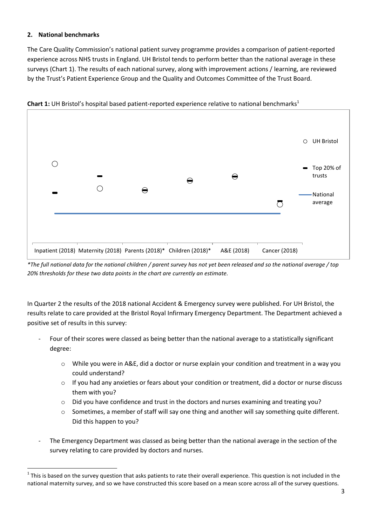# **2. National benchmarks**

The Care Quality Commission's national patient survey programme provides a comparison of patient-reported experience across NHS trusts in England. UH Bristol tends to perform better than the national average in these surveys (Chart 1). The results of each national survey, along with improvement actions / learning, are reviewed by the Trust's Patient Experience Group and the Quality and Outcomes Committee of the Trust Board.



**Chart 1:** UH Bristol's hospital based patient-reported experience relative to national benchmarks<sup>1</sup>

*\*The full national data for the national children / parent survey has not yet been released and so the national average / top 20% thresholds for these two data points in the chart are currently an estimate.*

In Quarter 2 the results of the 2018 national Accident & Emergency survey were published. For UH Bristol, the results relate to care provided at the Bristol Royal Infirmary Emergency Department. The Department achieved a positive set of results in this survey:

- Four of their scores were classed as being better than the national average to a statistically significant degree:
	- $\circ$  While you were in A&E, did a doctor or nurse explain your condition and treatment in a way you could understand?
	- $\circ$  If you had any anxieties or fears about your condition or treatment, did a doctor or nurse discuss them with you?
	- $\circ$  Did you have confidence and trust in the doctors and nurses examining and treating you?
	- $\circ$  Sometimes, a member of staff will say one thing and another will say something quite different. Did this happen to you?
- The Emergency Department was classed as being better than the national average in the section of the survey relating to care provided by doctors and nurses.

 $\overline{a}$  $^1$  This is based on the survey question that asks patients to rate their overall experience. This question is not included in the national maternity survey, and so we have constructed this score based on a mean score across all of the survey questions.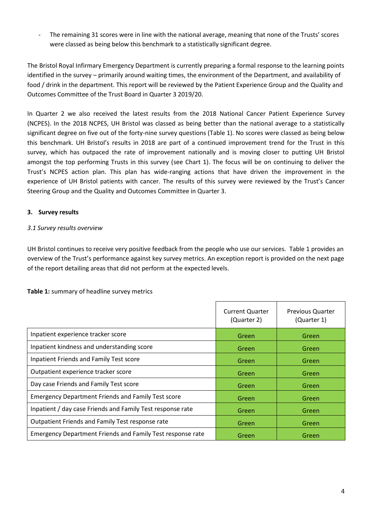The remaining 31 scores were in line with the national average, meaning that none of the Trusts' scores were classed as being below this benchmark to a statistically significant degree.

The Bristol Royal Infirmary Emergency Department is currently preparing a formal response to the learning points identified in the survey – primarily around waiting times, the environment of the Department, and availability of food / drink in the department. This report will be reviewed by the Patient Experience Group and the Quality and Outcomes Committee of the Trust Board in Quarter 3 2019/20.

In Quarter 2 we also received the latest results from the 2018 National Cancer Patient Experience Survey (NCPES). In the 2018 NCPES, UH Bristol was classed as being better than the national average to a statistically significant degree on five out of the forty-nine survey questions (Table 1). No scores were classed as being below this benchmark. UH Bristol's results in 2018 are part of a continued improvement trend for the Trust in this survey, which has outpaced the rate of improvement nationally and is moving closer to putting UH Bristol amongst the top performing Trusts in this survey (see Chart 1). The focus will be on continuing to deliver the Trust's NCPES action plan. This plan has wide-ranging actions that have driven the improvement in the experience of UH Bristol patients with cancer. The results of this survey were reviewed by the Trust's Cancer Steering Group and the Quality and Outcomes Committee in Quarter 3.

# **3. Survey results**

# *3.1 Survey results overview*

UH Bristol continues to receive very positive feedback from the people who use our services. Table 1 provides an overview of the Trust's performance against key survey metrics. An exception report is provided on the next page of the report detailing areas that did not perform at the expected levels.

#### **Table 1:** summary of headline survey metrics

|                                                                   | <b>Current Quarter</b><br>(Quarter 2) | <b>Previous Quarter</b><br>(Quarter 1) |
|-------------------------------------------------------------------|---------------------------------------|----------------------------------------|
| Inpatient experience tracker score                                | Green                                 | Green                                  |
| Inpatient kindness and understanding score                        | Green                                 | Green                                  |
| Inpatient Friends and Family Test score                           | Green                                 | Green                                  |
| Outpatient experience tracker score                               | Green                                 | Green                                  |
| Day case Friends and Family Test score                            | Green                                 | Green                                  |
| <b>Emergency Department Friends and Family Test score</b>         | Green                                 | Green                                  |
| Inpatient / day case Friends and Family Test response rate        | Green                                 | Green                                  |
| Outpatient Friends and Family Test response rate                  | Green                                 | Green                                  |
| <b>Emergency Department Friends and Family Test response rate</b> | Green                                 | Green                                  |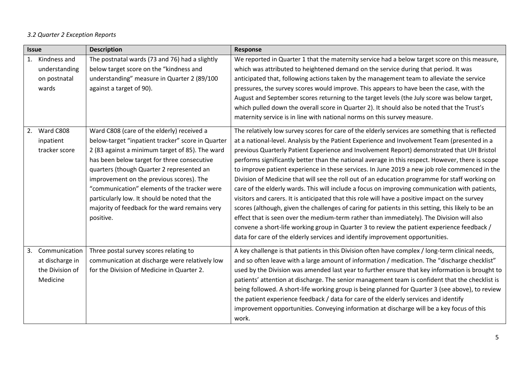# *3.2 Quarter 2 Exception Reports*

| <b>Description</b><br><b>Issue</b> |                                                                 |                                                                                                                                                                                                                                                                                                                                                                                                                                                            | Response                                                                                                                                                                                                                                                                                                                                                                                                                                                                                                                                                                                                                                                                                                                                                                                                                                                                                                                                                                                                                                                                                                                                                                                        |  |
|------------------------------------|-----------------------------------------------------------------|------------------------------------------------------------------------------------------------------------------------------------------------------------------------------------------------------------------------------------------------------------------------------------------------------------------------------------------------------------------------------------------------------------------------------------------------------------|-------------------------------------------------------------------------------------------------------------------------------------------------------------------------------------------------------------------------------------------------------------------------------------------------------------------------------------------------------------------------------------------------------------------------------------------------------------------------------------------------------------------------------------------------------------------------------------------------------------------------------------------------------------------------------------------------------------------------------------------------------------------------------------------------------------------------------------------------------------------------------------------------------------------------------------------------------------------------------------------------------------------------------------------------------------------------------------------------------------------------------------------------------------------------------------------------|--|
|                                    | 1. Kindness and<br>understanding<br>on postnatal<br>wards       | The postnatal wards (73 and 76) had a slightly<br>below target score on the "kindness and<br>understanding" measure in Quarter 2 (89/100<br>against a target of 90).                                                                                                                                                                                                                                                                                       | We reported in Quarter 1 that the maternity service had a below target score on this measure,<br>which was attributed to heightened demand on the service during that period. It was<br>anticipated that, following actions taken by the management team to alleviate the service<br>pressures, the survey scores would improve. This appears to have been the case, with the<br>August and September scores returning to the target levels (the July score was below target,<br>which pulled down the overall score in Quarter 2). It should also be noted that the Trust's<br>maternity service is in line with national norms on this survey measure.                                                                                                                                                                                                                                                                                                                                                                                                                                                                                                                                        |  |
|                                    | 2. Ward C808<br>inpatient<br>tracker score                      | Ward C808 (care of the elderly) received a<br>below-target "inpatient tracker" score in Quarter<br>2 (83 against a minimum target of 85). The ward<br>has been below target for three consecutive<br>quarters (though Quarter 2 represented an<br>improvement on the previous scores). The<br>"communication" elements of the tracker were<br>particularly low. It should be noted that the<br>majority of feedback for the ward remains very<br>positive. | The relatively low survey scores for care of the elderly services are something that is reflected<br>at a national-level. Analysis by the Patient Experience and Involvement Team (presented in a<br>previous Quarterly Patient Experience and Involvement Report) demonstrated that UH Bristol<br>performs significantly better than the national average in this respect. However, there is scope<br>to improve patient experience in these services. In June 2019 a new job role commenced in the<br>Division of Medicine that will see the roll out of an education programme for staff working on<br>care of the elderly wards. This will include a focus on improving communication with patients,<br>visitors and carers. It is anticipated that this role will have a positive impact on the survey<br>scores (although, given the challenges of caring for patients in this setting, this likely to be an<br>effect that is seen over the medium-term rather than immediately). The Division will also<br>convene a short-life working group in Quarter 3 to review the patient experience feedback /<br>data for care of the elderly services and identify improvement opportunities. |  |
| 3.                                 | Communication<br>at discharge in<br>the Division of<br>Medicine | Three postal survey scores relating to<br>communication at discharge were relatively low<br>for the Division of Medicine in Quarter 2.                                                                                                                                                                                                                                                                                                                     | A key challenge is that patients in this Division often have complex / long-term clinical needs,<br>and so often leave with a large amount of information / medication. The "discharge checklist"<br>used by the Division was amended last year to further ensure that key information is brought to<br>patients' attention at discharge. The senior management team is confident that the checklist is<br>being followed. A short-life working group is being planned for Quarter 3 (see above), to review<br>the patient experience feedback / data for care of the elderly services and identify<br>improvement opportunities. Conveying information at discharge will be a key focus of this<br>work.                                                                                                                                                                                                                                                                                                                                                                                                                                                                                       |  |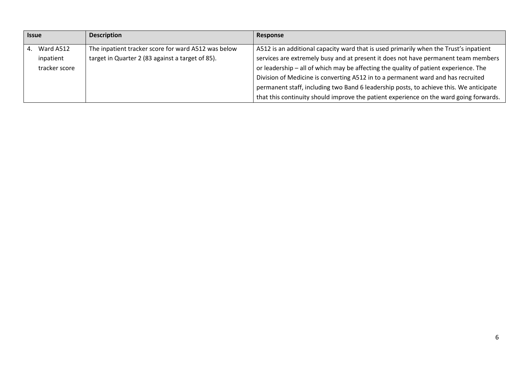| <b>Issue</b> |               | <b>Description</b>                                  | Response                                                                               |
|--------------|---------------|-----------------------------------------------------|----------------------------------------------------------------------------------------|
| 4.           | Ward A512     | The inpatient tracker score for ward A512 was below | A512 is an additional capacity ward that is used primarily when the Trust's inpatient  |
|              | inpatient     | target in Quarter 2 (83 against a target of 85).    | services are extremely busy and at present it does not have permanent team members     |
|              | tracker score |                                                     | or leadership - all of which may be affecting the quality of patient experience. The   |
|              |               |                                                     | Division of Medicine is converting A512 in to a permanent ward and has recruited       |
|              |               |                                                     | permanent staff, including two Band 6 leadership posts, to achieve this. We anticipate |
|              |               |                                                     | that this continuity should improve the patient experience on the ward going forwards. |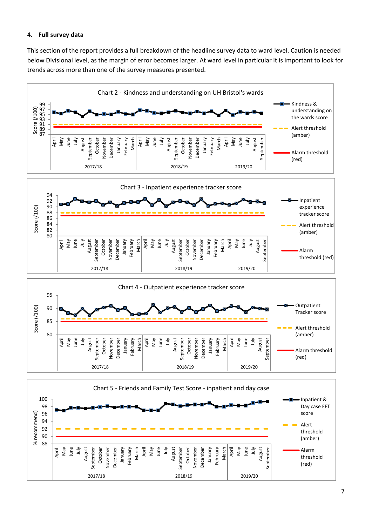#### **4. Full survey data**

This section of the report provides a full breakdown of the headline survey data to ward level. Caution is needed below Divisional level, as the margin of error becomes larger. At ward level in particular it is important to look for trends across more than one of the survey measures presented.

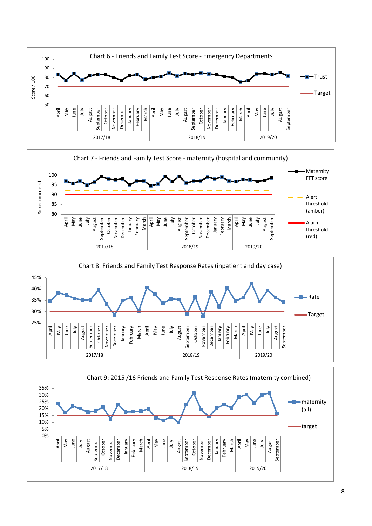





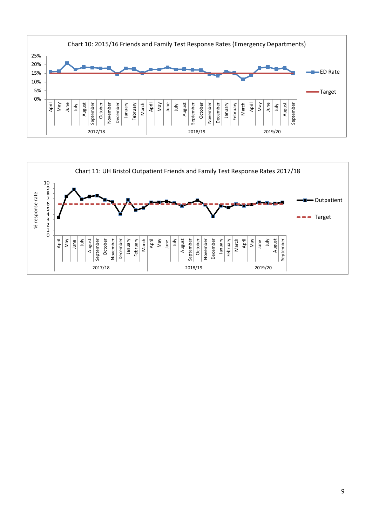

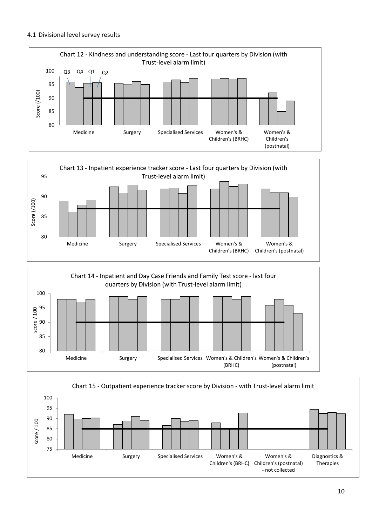#### 4.1 Divisional level survey results







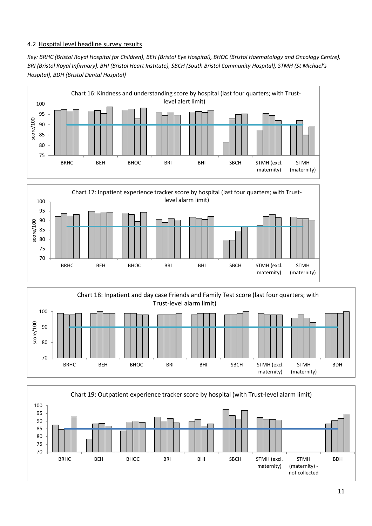#### 4.2 Hospital level headline survey results

*Key: BRHC (Bristol Royal Hospital for Children), BEH (Bristol Eye Hospital), BHOC (Bristol Haematology and Oncology Centre), BRI (Bristol Royal Infirmary), BHI (Bristol Heart Institute), SBCH (South Bristol Community Hospital), STMH (St Michael's Hospital), BDH (Bristol Dental Hospital)*





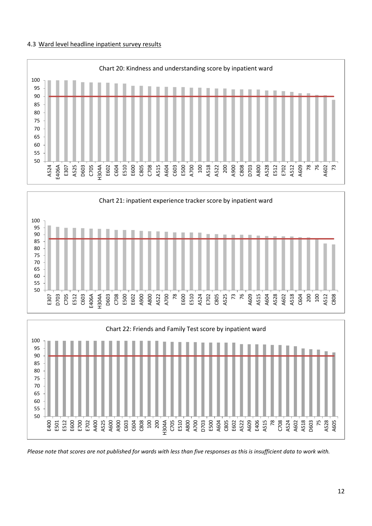#### 4.3 Ward level headline inpatient survey results



*Please note that scores are not published for wards with less than five responses as this is insufficient data to work with.*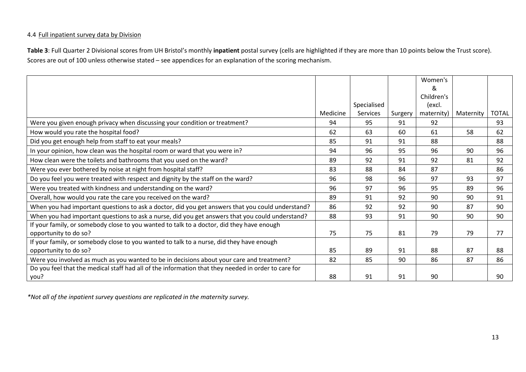#### 4.4 Full inpatient survey data by Division

**Table 3**: Full Quarter 2 Divisional scores from UH Bristol's monthly **inpatient** postal survey (cells are highlighted if they are more than 10 points below the Trust score). Scores are out of 100 unless otherwise stated – see appendices for an explanation of the scoring mechanism.

|                                                                                                     |          |                 |         | Women's    |           |              |
|-----------------------------------------------------------------------------------------------------|----------|-----------------|---------|------------|-----------|--------------|
|                                                                                                     |          |                 |         | &          |           |              |
|                                                                                                     |          |                 |         | Children's |           |              |
|                                                                                                     |          | Specialised     |         | (excl.     |           |              |
|                                                                                                     | Medicine | <b>Services</b> | Surgery | maternity) | Maternity | <b>TOTAL</b> |
| Were you given enough privacy when discussing your condition or treatment?                          | 94       | 95              | 91      | 92         |           | 93           |
| How would you rate the hospital food?                                                               | 62       | 63              | 60      | 61         | 58        | 62           |
| Did you get enough help from staff to eat your meals?                                               | 85       | 91              | 91      | 88         |           | 88           |
| In your opinion, how clean was the hospital room or ward that you were in?                          | 94       | 96              | 95      | 96         | 90        | 96           |
| How clean were the toilets and bathrooms that you used on the ward?                                 | 89       | 92              | 91      | 92         | 81        | 92           |
| Were you ever bothered by noise at night from hospital staff?                                       | 83       | 88              | 84      | 87         |           | 86           |
| Do you feel you were treated with respect and dignity by the staff on the ward?                     | 96       | 98              | 96      | 97         | 93        | 97           |
| Were you treated with kindness and understanding on the ward?                                       | 96       | 97              | 96      | 95         | 89        | 96           |
| Overall, how would you rate the care you received on the ward?                                      | 89       | 91              | 92      | 90         | 90        | 91           |
| When you had important questions to ask a doctor, did you get answers that you could understand?    | 86       | 92              | 92      | 90         | 87        | 90           |
| When you had important questions to ask a nurse, did you get answers that you could understand?     | 88       | 93              | 91      | 90         | 90        | 90           |
| If your family, or somebody close to you wanted to talk to a doctor, did they have enough           |          |                 |         |            |           |              |
| opportunity to do so?                                                                               | 75       | 75              | 81      | 79         | 79        | 77           |
| If your family, or somebody close to you wanted to talk to a nurse, did they have enough            |          |                 |         |            |           |              |
| opportunity to do so?                                                                               | 85       | 89              | 91      | 88         | 87        | 88           |
| Were you involved as much as you wanted to be in decisions about your care and treatment?           | 82       | 85              | 90      | 86         | 87        | 86           |
| Do you feel that the medical staff had all of the information that they needed in order to care for |          |                 |         |            |           |              |
| you?                                                                                                | 88       | 91              | 91      | 90         |           | 90           |

*\*Not all of the inpatient survey questions are replicated in the maternity survey.*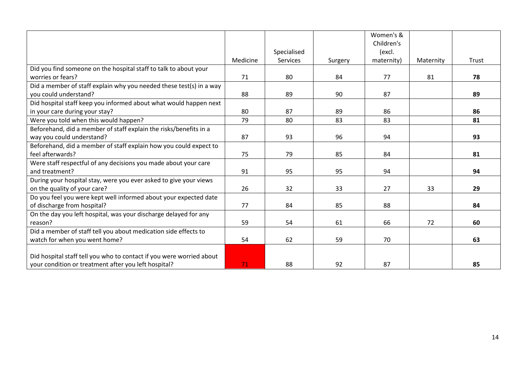|                                                                      |          |                 |         | Women's &  |           |       |
|----------------------------------------------------------------------|----------|-----------------|---------|------------|-----------|-------|
|                                                                      |          |                 |         | Children's |           |       |
|                                                                      |          | Specialised     |         | (excl.     |           |       |
|                                                                      | Medicine | <b>Services</b> | Surgery | maternity) | Maternity | Trust |
| Did you find someone on the hospital staff to talk to about your     |          |                 |         |            |           |       |
| worries or fears?                                                    | 71       | 80              | 84      | 77         | 81        | 78    |
| Did a member of staff explain why you needed these test(s) in a way  |          |                 |         |            |           |       |
| you could understand?                                                | 88       | 89              | 90      | 87         |           | 89    |
| Did hospital staff keep you informed about what would happen next    |          |                 |         |            |           |       |
| in your care during your stay?                                       | 80       | 87              | 89      | 86         |           | 86    |
| Were you told when this would happen?                                | 79       | 80              | 83      | 83         |           | 81    |
| Beforehand, did a member of staff explain the risks/benefits in a    |          |                 |         |            |           |       |
| way you could understand?                                            | 87       | 93              | 96      | 94         |           | 93    |
| Beforehand, did a member of staff explain how you could expect to    |          |                 |         |            |           |       |
| feel afterwards?                                                     | 75       | 79              | 85      | 84         |           | 81    |
| Were staff respectful of any decisions you made about your care      |          |                 |         |            |           |       |
| and treatment?                                                       | 91       | 95              | 95      | 94         |           | 94    |
| During your hospital stay, were you ever asked to give your views    |          |                 |         |            |           |       |
| on the quality of your care?                                         | 26       | 32              | 33      | 27         | 33        | 29    |
| Do you feel you were kept well informed about your expected date     |          |                 |         |            |           |       |
| of discharge from hospital?                                          | 77       | 84              | 85      | 88         |           | 84    |
| On the day you left hospital, was your discharge delayed for any     |          |                 |         |            |           |       |
| reason?                                                              | 59       | 54              | 61      | 66         | 72        | 60    |
| Did a member of staff tell you about medication side effects to      |          |                 |         |            |           |       |
| watch for when you went home?                                        | 54       | 62              | 59      | 70         |           | 63    |
|                                                                      |          |                 |         |            |           |       |
| Did hospital staff tell you who to contact if you were worried about |          |                 |         |            |           |       |
| your condition or treatment after you left hospital?                 | 71       | 88              | 92      | 87         |           | 85    |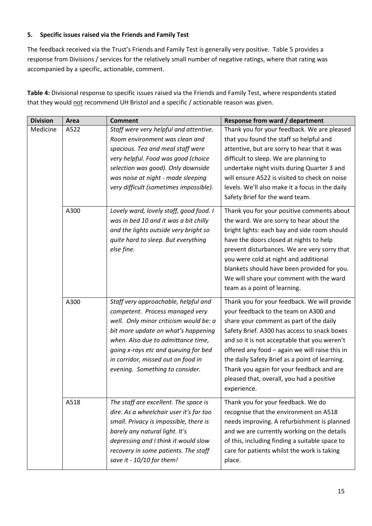# **5. Specific issues raised via the Friends and Family Test**

The feedback received via the Trust's Friends and Family Test is generally very positive. Table 5 provides a response from Divisions / services for the relatively small number of negative ratings, where that rating was accompanied by a specific, actionable, comment.

**Table 4:** Divisional response to specific issues raised via the Friends and Family Test, where respondents stated that they would not recommend UH Bristol and a specific / actionable reason was given.

| <b>Division</b> | Area | <b>Comment</b>                          | Response from ward / department                 |  |
|-----------------|------|-----------------------------------------|-------------------------------------------------|--|
| Medicine        | A522 | Staff were very helpful and attentive.  | Thank you for your feedback. We are pleased     |  |
|                 |      | Room environment was clean and          | that you found the staff so helpful and         |  |
|                 |      | spacious. Tea and meal staff were       | attentive, but are sorry to hear that it was    |  |
|                 |      | very helpful. Food was good (choice     | difficult to sleep. We are planning to          |  |
|                 |      | selection was good). Only downside      | undertake night visits during Quarter 3 and     |  |
|                 |      | was noise at night - made sleeping      | will ensure A522 is visited to check on noise   |  |
|                 |      | very difficult (sometimes impossible).  | levels. We'll also make it a focus in the daily |  |
|                 |      |                                         | Safety Brief for the ward team.                 |  |
|                 | A300 | Lovely ward, lovely staff, good food. I | Thank you for your positive comments about      |  |
|                 |      | was in bed 10 and it was a bit chilly   | the ward. We are sorry to hear about the        |  |
|                 |      | and the lights outside very bright so   | bright lights: each bay and side room should    |  |
|                 |      | quite hard to sleep. But everything     | have the doors closed at nights to help         |  |
|                 |      | else fine.                              | prevent disturbances. We are very sorry that    |  |
|                 |      |                                         | you were cold at night and additional           |  |
|                 |      |                                         | blankets should have been provided for you.     |  |
|                 |      |                                         | We will share your comment with the ward        |  |
|                 |      |                                         | team as a point of learning.                    |  |
|                 | A300 | Staff very approachable, helpful and    | Thank you for your feedback. We will provide    |  |
|                 |      | competent. Process managed very         | your feedback to the team on A300 and           |  |
|                 |      | well. Only minor criticism would be: a  | share your comment as part of the daily         |  |
|                 |      | bit more update on what's happening     | Safety Brief. A300 has access to snack boxes    |  |
|                 |      | when. Also due to admittance time,      | and so it is not acceptable that you weren't    |  |
|                 |      | going x-rays etc and queuing for bed    | offered any food - again we will raise this in  |  |
|                 |      | in corridor, missed out on food in      | the daily Safety Brief as a point of learning.  |  |
|                 |      | evening. Something to consider.         | Thank you again for your feedback and are       |  |
|                 |      |                                         | pleased that, overall, you had a positive       |  |
|                 |      |                                         | experience.                                     |  |
|                 | A518 | The staff are excellent. The space is   | Thank you for your feedback. We do              |  |
|                 |      | dire. As a wheelchair user it's far too | recognise that the environment on A518          |  |
|                 |      | small. Privacy is impossible, there is  | needs improving. A refurbishment is planned     |  |
|                 |      | barely any natural light. It's          | and we are currently working on the details     |  |
|                 |      | depressing and I think it would slow    | of this, including finding a suitable space to  |  |
|                 |      | recovery in some patients. The staff    | care for patients whilst the work is taking     |  |
|                 |      | save it - 10/10 for them!               | place.                                          |  |
|                 |      |                                         |                                                 |  |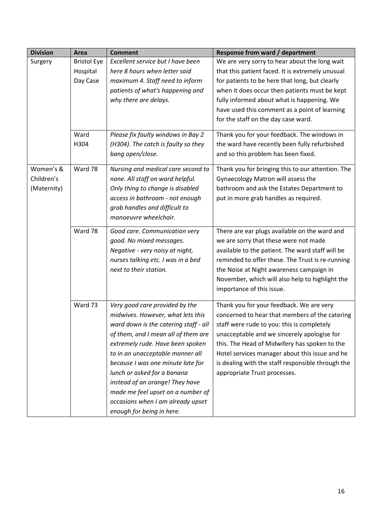| <b>Division</b> | Area               | <b>Comment</b>                        | <b>Response from ward / department</b>            |
|-----------------|--------------------|---------------------------------------|---------------------------------------------------|
| Surgery         | <b>Bristol Eye</b> | Excellent service but I have been     | We are very sorry to hear about the long wait     |
|                 | Hospital           | here 8 hours when letter said         | that this patient faced. It is extremely unusual  |
|                 | Day Case           | maximum 4. Staff need to inform       | for patients to be here that long, but clearly    |
|                 |                    | patients of what's happening and      | when it does occur then patients must be kept     |
|                 |                    | why there are delays.                 | fully informed about what is happening. We        |
|                 |                    |                                       | have used this comment as a point of learning     |
|                 |                    |                                       | for the staff on the day case ward.               |
|                 | Ward               | Please fix faulty windows in Bay 2    | Thank you for your feedback. The windows in       |
|                 | H304               | (H304). The catch is faulty so they   | the ward have recently been fully refurbished     |
|                 |                    | bang open/close.                      | and so this problem has been fixed.               |
| Women's &       | Ward 78            | Nursing and medical care second to    | Thank you for bringing this to our attention. The |
| Children's      |                    | none. All staff on ward helpful.      | Gynaecology Matron will assess the                |
| (Maternity)     |                    | Only thing to change is disabled      | bathroom and ask the Estates Department to        |
|                 |                    | access in bathroom - not enough       | put in more grab handles as required.             |
|                 |                    | grab handles and difficult to         |                                                   |
|                 |                    | manoeuvre wheelchair.                 |                                                   |
|                 | Ward 78            | Good care. Communication very         | There are ear plugs available on the ward and     |
|                 |                    | good. No mixed messages.              | we are sorry that these were not made             |
|                 |                    | Negative - very noisy at night,       | available to the patient. The ward staff will be  |
|                 |                    | nurses talking etc. I was in a bed    | reminded to offer these. The Trust is re-running  |
|                 |                    | next to their station.                | the Noise at Night awareness campaign in          |
|                 |                    |                                       | November, which will also help to highlight the   |
|                 |                    |                                       | importance of this issue.                         |
|                 |                    |                                       |                                                   |
|                 | Ward 73            | Very good care provided by the        | Thank you for your feedback. We are very          |
|                 |                    | midwives. However, what lets this     | concerned to hear that members of the catering    |
|                 |                    | ward down is the catering staff - all | staff were rude to you: this is completely        |
|                 |                    | of them, and I mean all of them are   | unacceptable and we sincerely apologise for       |
|                 |                    | extremely rude. Have been spoken      | this. The Head of Midwifery has spoken to the     |
|                 |                    | to in an unacceptable manner all      | Hotel services manager about this issue and he    |
|                 |                    | because I was one minute late for     | is dealing with the staff responsible through the |
|                 |                    | lunch or asked for a banana           | appropriate Trust processes.                      |
|                 |                    | instead of an orange! They have       |                                                   |
|                 |                    | made me feel upset on a number of     |                                                   |
|                 |                    | occasions when I am already upset     |                                                   |
|                 |                    | enough for being in here.             |                                                   |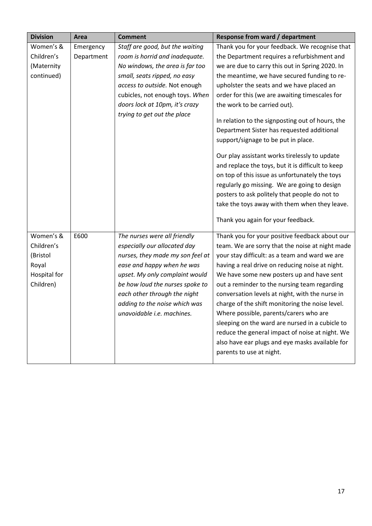| <b>Division</b> | Area       | <b>Comment</b>                   | <b>Response from ward / department</b>                                                                                                                                                                                                                                                                                                                                                                                                                                                |
|-----------------|------------|----------------------------------|---------------------------------------------------------------------------------------------------------------------------------------------------------------------------------------------------------------------------------------------------------------------------------------------------------------------------------------------------------------------------------------------------------------------------------------------------------------------------------------|
| Women's &       | Emergency  | Staff are good, but the waiting  | Thank you for your feedback. We recognise that                                                                                                                                                                                                                                                                                                                                                                                                                                        |
| Children's      | Department | room is horrid and inadequate.   | the Department requires a refurbishment and                                                                                                                                                                                                                                                                                                                                                                                                                                           |
| (Maternity      |            | No windows, the area is far too  | we are due to carry this out in Spring 2020. In                                                                                                                                                                                                                                                                                                                                                                                                                                       |
| continued)      |            | small, seats ripped, no easy     | the meantime, we have secured funding to re-                                                                                                                                                                                                                                                                                                                                                                                                                                          |
|                 |            | access to outside. Not enough    | upholster the seats and we have placed an                                                                                                                                                                                                                                                                                                                                                                                                                                             |
|                 |            | cubicles, not enough toys. When  | order for this (we are awaiting timescales for                                                                                                                                                                                                                                                                                                                                                                                                                                        |
|                 |            | doors lock at 10pm, it's crazy   | the work to be carried out).                                                                                                                                                                                                                                                                                                                                                                                                                                                          |
|                 |            | trying to get out the place      | In relation to the signposting out of hours, the<br>Department Sister has requested additional<br>support/signage to be put in place.<br>Our play assistant works tirelessly to update<br>and replace the toys, but it is difficult to keep<br>on top of this issue as unfortunately the toys<br>regularly go missing. We are going to design<br>posters to ask politely that people do not to<br>take the toys away with them when they leave.<br>Thank you again for your feedback. |
| Women's &       | E600       | The nurses were all friendly     | Thank you for your positive feedback about our                                                                                                                                                                                                                                                                                                                                                                                                                                        |
| Children's      |            | especially our allocated day     | team. We are sorry that the noise at night made                                                                                                                                                                                                                                                                                                                                                                                                                                       |
| (Bristol        |            | nurses, they made my son feel at | your stay difficult: as a team and ward we are                                                                                                                                                                                                                                                                                                                                                                                                                                        |
| Royal           |            | ease and happy when he was       | having a real drive on reducing noise at night.                                                                                                                                                                                                                                                                                                                                                                                                                                       |
| Hospital for    |            | upset. My only complaint would   | We have some new posters up and have sent                                                                                                                                                                                                                                                                                                                                                                                                                                             |
| Children)       |            | be how loud the nurses spoke to  | out a reminder to the nursing team regarding                                                                                                                                                                                                                                                                                                                                                                                                                                          |
|                 |            | each other through the night     | conversation levels at night, with the nurse in                                                                                                                                                                                                                                                                                                                                                                                                                                       |
|                 |            | adding to the noise which was    | charge of the shift monitoring the noise level.                                                                                                                                                                                                                                                                                                                                                                                                                                       |
|                 |            | unavoidable i.e. machines.       | Where possible, parents/carers who are                                                                                                                                                                                                                                                                                                                                                                                                                                                |
|                 |            |                                  | sleeping on the ward are nursed in a cubicle to                                                                                                                                                                                                                                                                                                                                                                                                                                       |
|                 |            |                                  | reduce the general impact of noise at night. We                                                                                                                                                                                                                                                                                                                                                                                                                                       |
|                 |            |                                  | also have ear plugs and eye masks available for                                                                                                                                                                                                                                                                                                                                                                                                                                       |
|                 |            |                                  | parents to use at night.                                                                                                                                                                                                                                                                                                                                                                                                                                                              |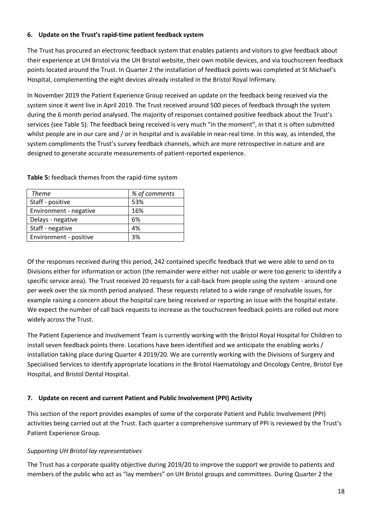## **6. Update on the Trust's rapid-time patient feedback system**

The Trust has procured an electronic feedback system that enables patients and visitors to give feedback about their experience at UH Bristol via the UH Bristol website, their own mobile devices, and via touchscreen feedback points located around the Trust. In Quarter 2 the installation of feedback points was completed at St Michael's Hospital, complementing the eight devices already installed in the Bristol Royal Infirmary.

In November 2019 the Patient Experience Group received an update on the feedback being received via the system since it went live in April 2019. The Trust received around 500 pieces of feedback through the system during the 6 month period analysed. The majority of responses contained positive feedback about the Trust's services (see Table 5). The feedback being received is very much "in the moment", in that it is often submitted whilst people are in our care and / or in hospital and is available in near-real time. In this way, as intended, the system compliments the Trust's survey feedback channels, which are more retrospective in nature and are designed to generate accurate measurements of patient-reported experience.

| <b>Theme</b>           | % of comments |  |
|------------------------|---------------|--|
| Staff - positive       | 53%           |  |
| Environment - negative | 16%           |  |
| Delays - negative      | 6%            |  |
| Staff - negative       | 4%            |  |
| Environment - positive | 3%            |  |

#### **Table 5:** feedback themes from the rapid-time system

Of the responses received during this period, 242 contained specific feedback that we were able to send on to Divisions either for information or action (the remainder were either not usable or were too generic to identify a specific service area). The Trust received 20 requests for a call-back from people using the system - around one per week over the six month period analysed. These requests related to a wide range of resolvable issues, for example raising a concern about the hospital care being received or reporting an issue with the hospital estate. We expect the number of call back requests to increase as the touchscreen feedback points are rolled out more widely across the Trust.

The Patient Experience and Involvement Team is currently working with the Bristol Royal Hospital for Children to install seven feedback points there. Locations have been identified and we anticipate the enabling works / installation taking place during Quarter 4 2019/20. We are currently working with the Divisions of Surgery and Specialised Services to identify appropriate locations in the Bristol Haematology and Oncology Centre, Bristol Eye Hospital, and Bristol Dental Hospital.

#### **7. Update on recent and current Patient and Public Involvement (PPI) Activity**

This section of the report provides examples of some of the corporate Patient and Public Involvement (PPI) activities being carried out at the Trust. Each quarter a comprehensive summary of PPI is reviewed by the Trust's Patient Experience Group.

#### *Supporting UH Bristol lay representatives*

The Trust has a corporate quality objective during 2019/20 to improve the support we provide to patients and members of the public who act as "lay members" on UH Bristol groups and committees. During Quarter 2 the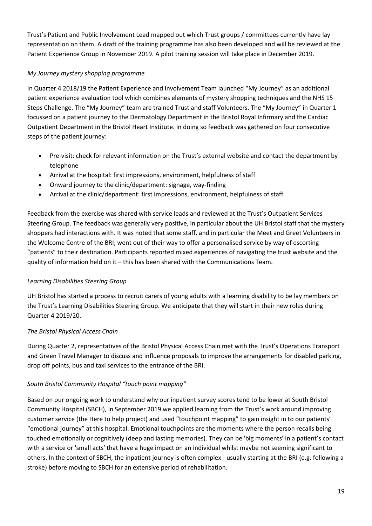Trust's Patient and Public Involvement Lead mapped out which Trust groups / committees currently have lay representation on them. A draft of the training programme has also been developed and will be reviewed at the Patient Experience Group in November 2019. A pilot training session will take place in December 2019.

# *My Journey mystery shopping programme*

In Quarter 4 2018/19 the Patient Experience and Involvement Team launched "My Journey" as an additional patient experience evaluation tool which combines elements of mystery shopping techniques and the NHS 15 Steps Challenge. The "My Journey" team are trained Trust and staff Volunteers. The "My Journey" in Quarter 1 focussed on a patient journey to the Dermatology Department in the Bristol Royal Infirmary and the Cardiac Outpatient Department in the Bristol Heart Institute. In doing so feedback was gathered on four consecutive steps of the patient journey:

- Pre-visit: check for relevant information on the Trust's external website and contact the department by telephone
- Arrival at the hospital: first impressions, environment, helpfulness of staff
- Onward journey to the clinic/department: signage, way-finding
- Arrival at the clinic/department: first impressions, environment, helpfulness of staff

Feedback from the exercise was shared with service leads and reviewed at the Trust's Outpatient Services Steering Group. The feedback was generally very positive, in particular about the UH Bristol staff that the mystery shoppers had interactions with. It was noted that some staff, and in particular the Meet and Greet Volunteers in the Welcome Centre of the BRI, went out of their way to offer a personalised service by way of escorting "patients" to their destination. Participants reported mixed experiences of navigating the trust website and the quality of information held on it – this has been shared with the Communications Team.

# *Learning Disabilities Steering Group*

UH Bristol has started a process to recruit carers of young adults with a learning disability to be lay members on the Trust's Learning Disabilities Steering Group. We anticipate that they will start in their new roles during Quarter 4 2019/20.

# *The Bristol Physical Access Chain*

During Quarter 2, representatives of the Bristol Physical Access Chain met with the Trust's Operations Transport and Green Travel Manager to discuss and influence proposals to improve the arrangements for disabled parking, drop off points, bus and taxi services to the entrance of the BRI.

# *South Bristol Community Hospital "touch point mapping"*

Based on our ongoing work to understand why our inpatient survey scores tend to be lower at South Bristol Community Hospital (SBCH), in September 2019 we applied learning from the Trust's work around improving customer service (the Here to help project) and used "touchpoint mapping" to gain insight in to our patients' "emotional journey" at this hospital. Emotional touchpoints are the moments where the person recalls being touched emotionally or cognitively (deep and lasting memories). They can be 'big moments' in a patient's contact with a service or 'small acts' that have a huge impact on an individual whilst maybe not seeming significant to others. In the context of SBCH, the inpatient journey is often complex - usually starting at the BRI (e.g. following a stroke) before moving to SBCH for an extensive period of rehabilitation.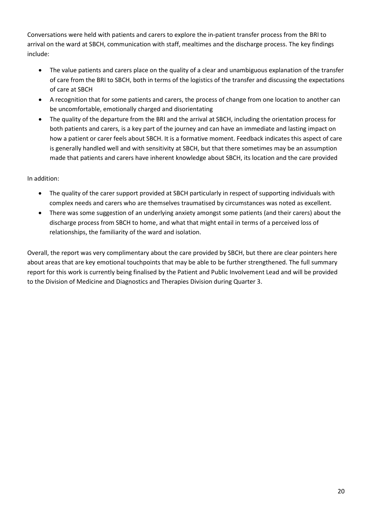Conversations were held with patients and carers to explore the in-patient transfer process from the BRI to arrival on the ward at SBCH, communication with staff, mealtimes and the discharge process. The key findings include:

- The value patients and carers place on the quality of a clear and unambiguous explanation of the transfer of care from the BRI to SBCH, both in terms of the logistics of the transfer and discussing the expectations of care at SBCH
- A recognition that for some patients and carers, the process of change from one location to another can be uncomfortable, emotionally charged and disorientating
- The quality of the departure from the BRI and the arrival at SBCH, including the orientation process for both patients and carers, is a key part of the journey and can have an immediate and lasting impact on how a patient or carer feels about SBCH. It is a formative moment. Feedback indicates this aspect of care is generally handled well and with sensitivity at SBCH, but that there sometimes may be an assumption made that patients and carers have inherent knowledge about SBCH, its location and the care provided

# In addition:

- The quality of the carer support provided at SBCH particularly in respect of supporting individuals with complex needs and carers who are themselves traumatised by circumstances was noted as excellent.
- There was some suggestion of an underlying anxiety amongst some patients (and their carers) about the discharge process from SBCH to home, and what that might entail in terms of a perceived loss of relationships, the familiarity of the ward and isolation.

Overall, the report was very complimentary about the care provided by SBCH, but there are clear pointers here about areas that are key emotional touchpoints that may be able to be further strengthened. The full summary report for this work is currently being finalised by the Patient and Public Involvement Lead and will be provided to the Division of Medicine and Diagnostics and Therapies Division during Quarter 3.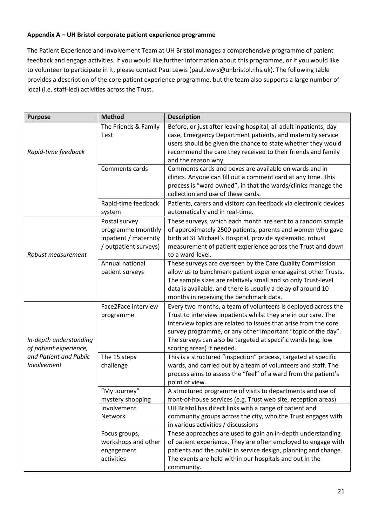#### **Appendix A – UH Bristol corporate patient experience programme**

The Patient Experience and Involvement Team at UH Bristol manages a comprehensive programme of patient feedback and engage activities. If you would like further information about this programme, or if you would like to volunteer to participate in it, please contact Paul Lewis (paul.lewis@uhbristol.nhs.uk). The following table provides a description of the core patient experience programme, but the team also supports a large number of local (i.e. staff-led) activities across the Trust.

| <b>Purpose</b>                                   | <b>Method</b>                                                                         | <b>Description</b>                                                                                                                                                                                                                                                                                                                                              |
|--------------------------------------------------|---------------------------------------------------------------------------------------|-----------------------------------------------------------------------------------------------------------------------------------------------------------------------------------------------------------------------------------------------------------------------------------------------------------------------------------------------------------------|
| Rapid-time feedback                              | The Friends & Family<br><b>Test</b>                                                   | Before, or just after leaving hospital, all adult inpatients, day<br>case, Emergency Department patients, and maternity service<br>users should be given the chance to state whether they would<br>recommend the care they received to their friends and family<br>and the reason why.                                                                          |
|                                                  | Comments cards                                                                        | Comments cards and boxes are available on wards and in<br>clinics. Anyone can fill out a comment card at any time. This<br>process is "ward owned", in that the wards/clinics manage the<br>collection and use of these cards.                                                                                                                                  |
|                                                  | Rapid-time feedback<br>system                                                         | Patients, carers and visitors can feedback via electronic devices<br>automatically and in real-time.                                                                                                                                                                                                                                                            |
| Robust measurement                               | Postal survey<br>programme (monthly<br>inpatient / maternity<br>/ outpatient surveys) | These surveys, which each month are sent to a random sample<br>of approximately 2500 patients, parents and women who gave<br>birth at St Michael's Hospital, provide systematic, robust<br>measurement of patient experience across the Trust and down<br>to a ward-level.                                                                                      |
|                                                  | Annual national<br>patient surveys                                                    | These surveys are overseen by the Care Quality Commission<br>allow us to benchmark patient experience against other Trusts.<br>The sample sizes are relatively small and so only Trust-level<br>data is available, and there is usually a delay of around 10<br>months in receiving the benchmark data.                                                         |
| In-depth understanding<br>of patient experience, | Face2Face interview<br>programme                                                      | Every two months, a team of volunteers is deployed across the<br>Trust to interview inpatients whilst they are in our care. The<br>interview topics are related to issues that arise from the core<br>survey programme, or any other important "topic of the day".<br>The surveys can also be targeted at specific wards (e.g. low<br>scoring areas) if needed. |
| and Patient and Public<br>Involvement            | The 15 steps<br>challenge                                                             | This is a structured "inspection" process, targeted at specific<br>wards, and carried out by a team of volunteers and staff. The<br>process aims to assess the "feel" of a ward from the patient's<br>point of view.                                                                                                                                            |
|                                                  | "My Journey"<br>mystery shopping                                                      | A structured programme of visits to departments and use of<br>front-of-house services (e.g. Trust web site, reception areas)                                                                                                                                                                                                                                    |
|                                                  | Involvement<br>Network                                                                | UH Bristol has direct links with a range of patient and<br>community groups across the city, who the Trust engages with<br>in various activities / discussions                                                                                                                                                                                                  |
|                                                  | Focus groups,<br>workshops and other<br>engagement<br>activities                      | These approaches are used to gain an in-depth understanding<br>of patient experience. They are often employed to engage with<br>patients and the public in service design, planning and change.<br>The events are held within our hospitals and out in the<br>community.                                                                                        |